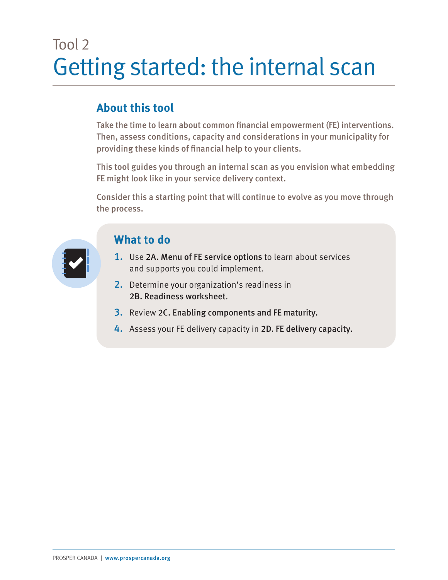## Tool 2 Getting started: the internal scan

## **About this tool**

Take the time to learn about common financial empowerment (FE) interventions. Then, assess conditions, capacity and considerations in your municipality for providing these kinds of financial help to your clients.

This tool guides you through an internal scan as you envision what embedding FE might look like in your service delivery context.

Consider this a starting point that will continue to evolve as you move through the process.



## **What to do**

- 1. Use 2A. Menu of FE service options to learn about services and supports you could implement.
- 2. Determine your organization's readiness in 2B. Readiness worksheet
- 3. Review 2C. Enabling components and FE maturity.
- 4. Assess your FE delivery capacity in 2D. FE delivery capacity.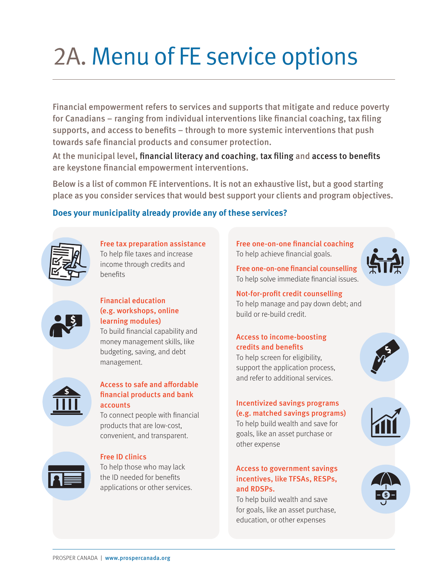## 2A. Menu of FE service options

Financial empowerment refers to services and supports that mitigate and reduce poverty for Canadians – ranging from individual interventions like financial coaching, tax filing supports, and access to benefits – through to more systemic interventions that push towards safe financial products and consumer protection.

At the municipal level, financial literacy and coaching, tax filing and access to benefits are keystone financial empowerment interventions.

Below is a list of common FE interventions. It is not an exhaustive list, but a good starting place as you consider services that would best support your clients and program objectives.

## **Does your municipality already provide any of these services?**



Free tax preparation assistance To help file taxes and increase income through credits and benefits



### Financial education (e.g. workshops, online learning modules)

To build financial capability and money management skills, like budgeting, saving, and debt management.



#### Access to safe and affordable financial products and bank accounts

To connect people with financial products that are low-cost, convenient, and transparent.



#### Free ID clinics

To help those who may lack the ID needed for benefits applications or other services. Free one-on-one financial coaching To help achieve financial goals.



Free one-on-one financial counselling To help solve immediate financial issues.

Not-for-profit credit counselling To help manage and pay down debt; and

## Access to income-boosting credits and benefits

build or re-build credit.

To help screen for eligibility, support the application process, and refer to additional services.

### Incentivized savings programs (e.g. matched savings programs)

To help build wealth and save for goals, like an asset purchase or other expense

#### Access to government savings incentives, like TFSAs, RESPs, and RDSPs.

To help build wealth and save for goals, like an asset purchase, education, or other expenses



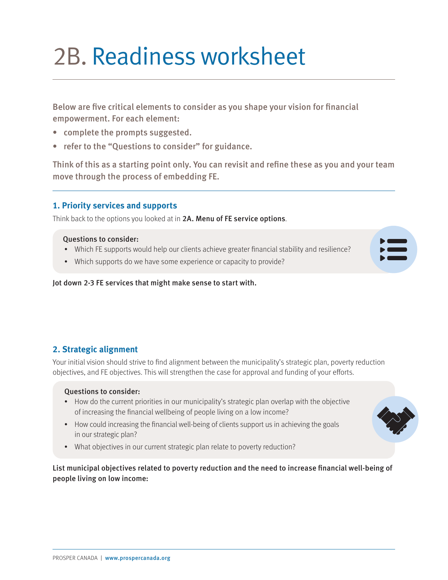## 2B. Readiness worksheet

Below are five critical elements to consider as you shape your vision for financial empowerment. For each element:

- complete the prompts suggested.
- refer to the "Questions to consider" for guidance.

Think of this as a starting point only. You can revisit and refine these as you and your team move through the process of embedding FE.

## **1. Priority services and supports**

Think back to the options you looked at in 2A. Menu of FE service options.

#### Questions to consider:

- Which FE supports would help our clients achieve greater financial stability and resilience?
- Which supports do we have some experience or capacity to provide?

Jot down 2-3 FE services that might make sense to start with.

## **2. Strategic alignment**

Your initial vision should strive to find alignment between the municipality's strategic plan, poverty reduction objectives, and FE objectives. This will strengthen the case for approval and funding of your efforts.

#### Questions to consider:

- How do the current priorities in our municipality's strategic plan overlap with the objective of increasing the financial wellbeing of people living on a low income?
- How could increasing the financial well-being of clients support us in achieving the goals in our strategic plan?
- What objectives in our current strategic plan relate to poverty reduction?

### List municipal objectives related to poverty reduction and the need to increase financial well-being of people living on low income:



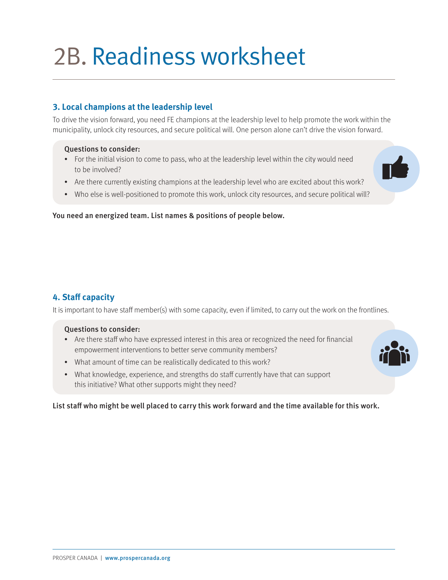## 2B. Readiness worksheet

## **3. Local champions at the leadership level**

To drive the vision forward, you need FE champions at the leadership level to help promote the work within the municipality, unlock city resources, and secure political will. One person alone can't drive the vision forward.

#### Questions to consider:

- For the initial vision to come to pass, who at the leadership level within the city would need to be involved?
- Are there currently existing champions at the leadership level who are excited about this work?
- Who else is well-positioned to promote this work, unlock city resources, and secure political will?

You need an energized team. List names & positions of people below.

## **4. Staff capacity**

It is important to have staff member(s) with some capacity, even if limited, to carry out the work on the frontlines.

#### Questions to consider:

- Are there staff who have expressed interest in this area or recognized the need for financial empowerment interventions to better serve community members?
- What amount of time can be realistically dedicated to this work?
- What knowledge, experience, and strengths do staff currently have that can support this initiative? What other supports might they need?

List staff who might be well placed to carry this work forward and the time available for this work.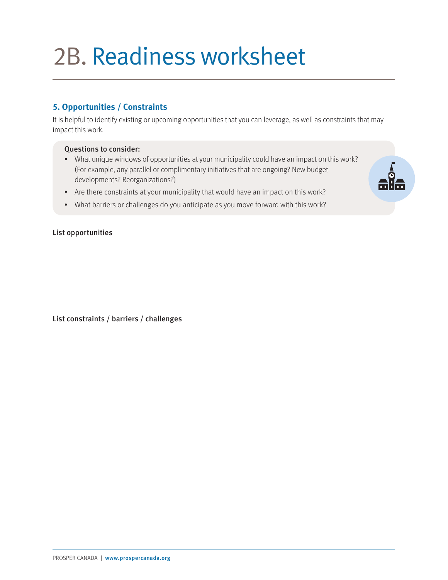## 2B. Readiness worksheet

## **5. Opportunities / Constraints**

It is helpful to identify existing or upcoming opportunities that you can leverage, as well as constraints that may impact this work.

#### Questions to consider:

- What unique windows of opportunities at your municipality could have an impact on this work? (For example, any parallel or complimentary initiatives that are ongoing? New budget developments? Reorganizations?)
- Are there constraints at your municipality that would have an impact on this work?
- What barriers or challenges do you anticipate as you move forward with this work?

#### List opportunities

List constraints / barriers / challenges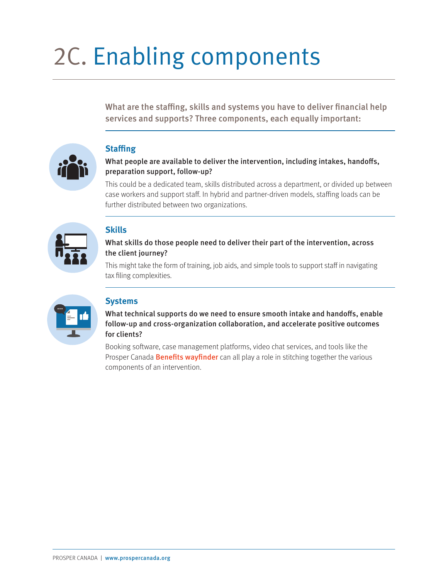# 2C. Enabling components

What are the staffing, skills and systems you have to deliver financial help services and supports? Three components, each equally important:



## **Staffing**

### What people are available to deliver the intervention, including intakes, handoffs, preparation support, follow-up?

This could be a dedicated team, skills distributed across a department, or divided up between case workers and support staff. In hybrid and partner-driven models, staffing loads can be further distributed between two organizations.

## **Skills**

### What skills do those people need to deliver their part of the intervention, across the client journey?

This might take the form of training, job aids, and simple tools to support staff in navigating tax filing complexities.



## **Systems**

What technical supports do we need to ensure smooth intake and handoffs, enable follow-up and cross-organization collaboration, and accelerate positive outcomes for clients?

Booking software, case management platforms, video chat services, and tools like the Prosper Canada **[Benefits wayfinder](https://benefitswayfinder.org/)** can all play a role in stitching together the various components of an intervention.